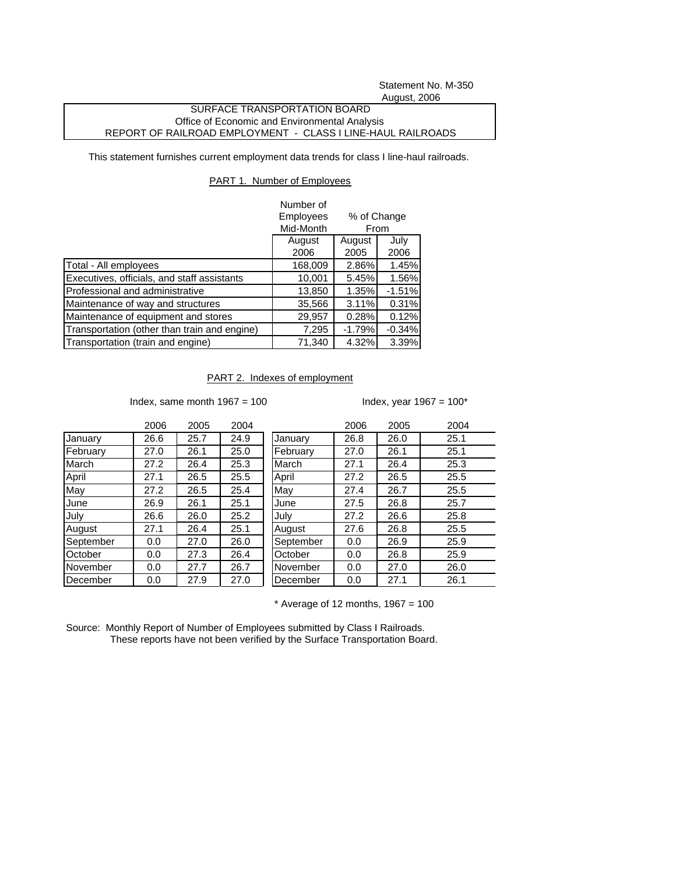Statement No. M-350 August, 2006

## SURFACE TRANSPORTATION BOARD Office of Economic and Environmental Analysis REPORT OF RAILROAD EMPLOYMENT - CLASS I LINE-HAUL RAILROADS

This statement furnishes current employment data trends for class I line-haul railroads.

## PART 1. Number of Employees

|                                              | Number of<br>Employees<br>% of Change<br>Mid-Month<br>From |                |              |
|----------------------------------------------|------------------------------------------------------------|----------------|--------------|
|                                              | August<br>2006                                             | August<br>2005 | July<br>2006 |
| Total - All employees                        | 168,009                                                    | 2.86%          | 1.45%        |
| Executives, officials, and staff assistants  | 10,001                                                     | 5.45%          | 1.56%        |
| Professional and administrative              | 13,850                                                     | 1.35%          | $-1.51%$     |
| Maintenance of way and structures            | 35,566                                                     | 3.11%          | 0.31%        |
| Maintenance of equipment and stores          | 29,957                                                     | 0.28%          | 0.12%        |
| Transportation (other than train and engine) | 7,295                                                      | $-1.79%$       | $-0.34%$     |
| Transportation (train and engine)            | 71,340                                                     | 4.32%          | 3.39%        |

PART 2. Indexes of employment

Index, same month  $1967 = 100$  Index, year  $1967 = 100^*$ 

|           | 2006 | 2005 | 2004 |           | 2006 | 2005 | 2004 |
|-----------|------|------|------|-----------|------|------|------|
| January   | 26.6 | 25.7 | 24.9 | January   | 26.8 | 26.0 | 25.1 |
| February  | 27.0 | 26.1 | 25.0 | February  | 27.0 | 26.1 | 25.1 |
| March     | 27.2 | 26.4 | 25.3 | March     | 27.1 | 26.4 | 25.3 |
| April     | 27.1 | 26.5 | 25.5 | April     | 27.2 | 26.5 | 25.5 |
| May       | 27.2 | 26.5 | 25.4 | May       | 27.4 | 26.7 | 25.5 |
| June      | 26.9 | 26.1 | 25.1 | June      | 27.5 | 26.8 | 25.7 |
| July      | 26.6 | 26.0 | 25.2 | July      | 27.2 | 26.6 | 25.8 |
| August    | 27.1 | 26.4 | 25.1 | August    | 27.6 | 26.8 | 25.5 |
| September | 0.0  | 27.0 | 26.0 | September | 0.0  | 26.9 | 25.9 |
| October   | 0.0  | 27.3 | 26.4 | October   | 0.0  | 26.8 | 25.9 |
| November  | 0.0  | 27.7 | 26.7 | November  | 0.0  | 27.0 | 26.0 |
| December  | 0.0  | 27.9 | 27.0 | December  | 0.0  | 27.1 | 26.1 |

 $*$  Average of 12 months, 1967 = 100

Source: Monthly Report of Number of Employees submitted by Class I Railroads. These reports have not been verified by the Surface Transportation Board.